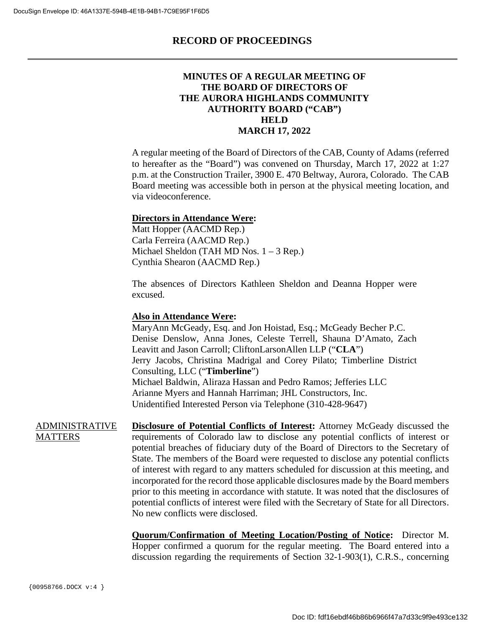### **MINUTES OF A REGULAR MEETING OF THE BOARD OF DIRECTORS OF THE AURORA HIGHLANDS COMMUNITY AUTHORITY BOARD ("CAB") HELD MARCH 17, 2022**

A regular meeting of the Board of Directors of the CAB, County of Adams (referred to hereafter as the "Board") was convened on Thursday, March 17, 2022 at 1:27 p.m. at the Construction Trailer, 3900 E. 470 Beltway, Aurora, Colorado. The CAB Board meeting was accessible both in person at the physical meeting location, and via videoconference.

#### **Directors in Attendance Were:**

Matt Hopper (AACMD Rep.) Carla Ferreira (AACMD Rep.) Michael Sheldon (TAH MD Nos. 1 – 3 Rep.) Cynthia Shearon (AACMD Rep.)

The absences of Directors Kathleen Sheldon and Deanna Hopper were excused.

#### **Also in Attendance Were:**

MaryAnn McGeady, Esq. and Jon Hoistad, Esq.; McGeady Becher P.C. Denise Denslow, Anna Jones, Celeste Terrell, Shauna D'Amato, Zach Leavitt and Jason Carroll; CliftonLarsonAllen LLP ("**CLA**") Jerry Jacobs, Christina Madrigal and Corey Pilato; Timberline District Consulting, LLC ("**Timberline**") Michael Baldwin, Aliraza Hassan and Pedro Ramos; Jefferies LLC Arianne Myers and Hannah Harriman; JHL Constructors, Inc. Unidentified Interested Person via Telephone (310-428-9647)

ADMINISTRATIVE **MATTERS Disclosure of Potential Conflicts of Interest:** Attorney McGeady discussed the requirements of Colorado law to disclose any potential conflicts of interest or potential breaches of fiduciary duty of the Board of Directors to the Secretary of State. The members of the Board were requested to disclose any potential conflicts of interest with regard to any matters scheduled for discussion at this meeting, and incorporated for the record those applicable disclosures made by the Board members prior to this meeting in accordance with statute. It was noted that the disclosures of potential conflicts of interest were filed with the Secretary of State for all Directors. No new conflicts were disclosed.

> **Quorum/Confirmation of Meeting Location/Posting of Notice:** Director M. Hopper confirmed a quorum for the regular meeting. The Board entered into a discussion regarding the requirements of Section 32-1-903(1), C.R.S., concerning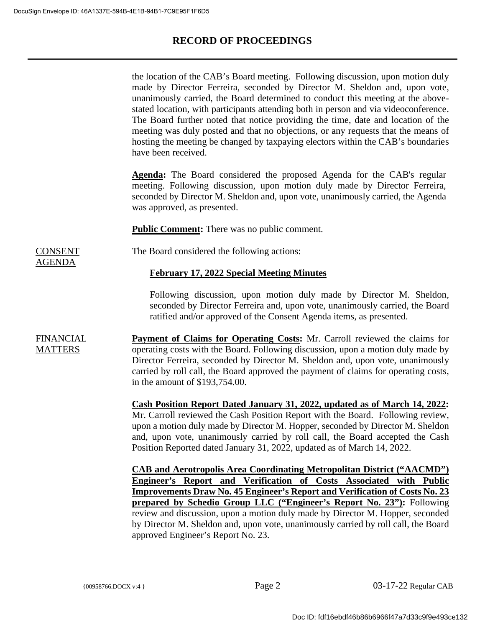CONSENT AGENDA

## **RECORD OF PROCEEDINGS**

the location of the CAB's Board meeting. Following discussion, upon motion duly made by Director Ferreira, seconded by Director M. Sheldon and, upon vote, unanimously carried, the Board determined to conduct this meeting at the abovestated location, with participants attending both in person and via videoconference. The Board further noted that notice providing the time, date and location of the meeting was duly posted and that no objections, or any requests that the means of hosting the meeting be changed by taxpaying electors within the CAB's boundaries have been received.

**Agenda:** The Board considered the proposed Agenda for the CAB's regular meeting. Following discussion, upon motion duly made by Director Ferreira, seconded by Director M. Sheldon and, upon vote, unanimously carried, the Agenda was approved, as presented.

**Public Comment:** There was no public comment.

The Board considered the following actions:

#### **February 17, 2022 Special Meeting Minutes**

Following discussion, upon motion duly made by Director M. Sheldon, seconded by Director Ferreira and, upon vote, unanimously carried, the Board ratified and/or approved of the Consent Agenda items, as presented.

FINANCIAL **MATTERS Payment of Claims for Operating Costs:** Mr. Carroll reviewed the claims for operating costs with the Board. Following discussion, upon a motion duly made by Director Ferreira, seconded by Director M. Sheldon and, upon vote, unanimously carried by roll call, the Board approved the payment of claims for operating costs, in the amount of \$193,754.00.

> **Cash Position Report Dated January 31, 2022, updated as of March 14, 2022:** Mr. Carroll reviewed the Cash Position Report with the Board. Following review, upon a motion duly made by Director M. Hopper, seconded by Director M. Sheldon and, upon vote, unanimously carried by roll call, the Board accepted the Cash Position Reported dated January 31, 2022, updated as of March 14, 2022.

> **CAB and Aerotropolis Area Coordinating Metropolitan District ("AACMD") Engineer's Report and Verification of Costs Associated with Public Improvements Draw No. 45 Engineer's Report and Verification of Costs No. 23 prepared by Schedio Group LLC ("Engineer's Report No. 23"):** Following review and discussion, upon a motion duly made by Director M. Hopper, seconded by Director M. Sheldon and, upon vote, unanimously carried by roll call, the Board approved Engineer's Report No. 23.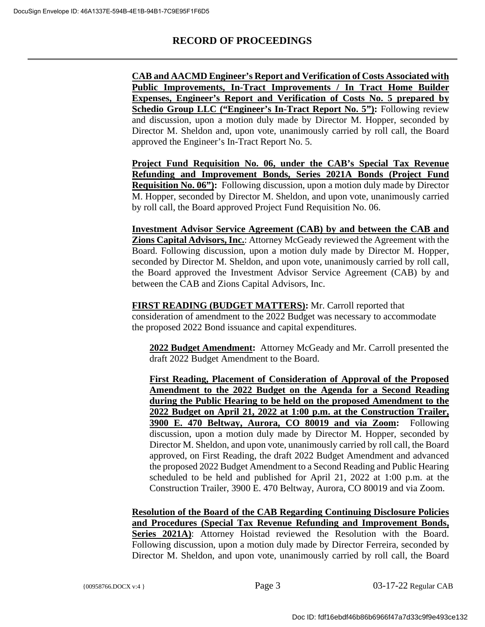**CAB and AACMD Engineer's Report and Verification of Costs Associated with Public Improvements, In-Tract Improvements / In Tract Home Builder Expenses, Engineer's Report and Verification of Costs No. 5 prepared by Schedio Group LLC ("Engineer's In-Tract Report No. 5"):** Following review and discussion, upon a motion duly made by Director M. Hopper, seconded by Director M. Sheldon and, upon vote, unanimously carried by roll call, the Board approved the Engineer's In-Tract Report No. 5.

**Project Fund Requisition No. 06, under the CAB's Special Tax Revenue Refunding and Improvement Bonds, Series 2021A Bonds (Project Fund Requisition No. 06"):** Following discussion, upon a motion duly made by Director M. Hopper, seconded by Director M. Sheldon, and upon vote, unanimously carried by roll call, the Board approved Project Fund Requisition No. 06.

**Investment Advisor Service Agreement (CAB) by and between the CAB and Zions Capital Advisors, Inc.**: Attorney McGeady reviewed the Agreement with the Board. Following discussion, upon a motion duly made by Director M. Hopper, seconded by Director M. Sheldon, and upon vote, unanimously carried by roll call, the Board approved the Investment Advisor Service Agreement (CAB) by and between the CAB and Zions Capital Advisors, Inc.

**FIRST READING (BUDGET MATTERS):** Mr. Carroll reported that consideration of amendment to the 2022 Budget was necessary to accommodate the proposed 2022 Bond issuance and capital expenditures.

**2022 Budget Amendment:** Attorney McGeady and Mr. Carroll presented the draft 2022 Budget Amendment to the Board.

**First Reading, Placement of Consideration of Approval of the Proposed Amendment to the 2022 Budget on the Agenda for a Second Reading during the Public Hearing to be held on the proposed Amendment to the 2022 Budget on April 21, 2022 at 1:00 p.m. at the Construction Trailer, 3900 E. 470 Beltway, Aurora, CO 80019 and via Zoom:** Following discussion, upon a motion duly made by Director M. Hopper, seconded by Director M. Sheldon, and upon vote, unanimously carried by roll call, the Board approved, on First Reading, the draft 2022 Budget Amendment and advanced the proposed 2022 Budget Amendment to a Second Reading and Public Hearing scheduled to be held and published for April 21, 2022 at 1:00 p.m. at the Construction Trailer, 3900 E. 470 Beltway, Aurora, CO 80019 and via Zoom.

**Resolution of the Board of the CAB Regarding Continuing Disclosure Policies and Procedures (Special Tax Revenue Refunding and Improvement Bonds,** Series 2021A): Attorney Hoistad reviewed the Resolution with the Board. Following discussion, upon a motion duly made by Director Ferreira, seconded by Director M. Sheldon, and upon vote, unanimously carried by roll call, the Board

{00958766.DOCX v:4 } Page 3 03-17-22 Regular CAB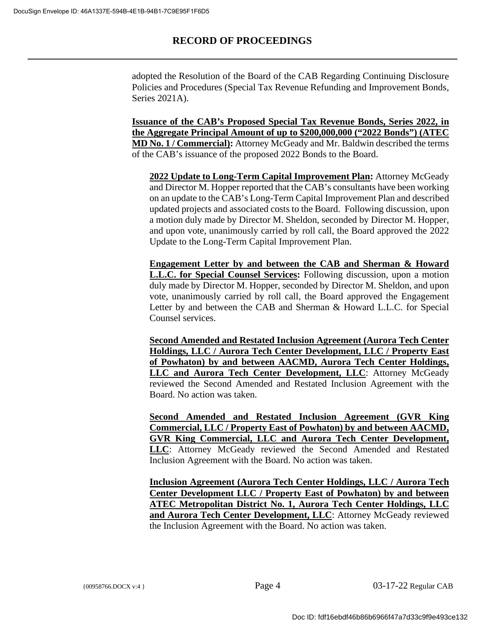adopted the Resolution of the Board of the CAB Regarding Continuing Disclosure Policies and Procedures (Special Tax Revenue Refunding and Improvement Bonds, Series 2021A).

**Issuance of the CAB's Proposed Special Tax Revenue Bonds, Series 2022, in the Aggregate Principal Amount of up to \$200,000,000 ("2022 Bonds") (ATEC MD No. 1 / Commercial):** Attorney McGeady and Mr. Baldwin described the terms of the CAB's issuance of the proposed 2022 Bonds to the Board.

**2022 Update to Long-Term Capital Improvement Plan:** Attorney McGeady and Director M. Hopper reported that the CAB's consultants have been working on an update to the CAB's Long-Term Capital Improvement Plan and described updated projects and associated costs to the Board. Following discussion, upon a motion duly made by Director M. Sheldon, seconded by Director M. Hopper, and upon vote, unanimously carried by roll call, the Board approved the 2022 Update to the Long-Term Capital Improvement Plan.

**Engagement Letter by and between the CAB and Sherman & Howard L.L.C. for Special Counsel Services:** Following discussion, upon a motion duly made by Director M. Hopper, seconded by Director M. Sheldon, and upon vote, unanimously carried by roll call, the Board approved the Engagement Letter by and between the CAB and Sherman & Howard L.L.C. for Special Counsel services.

**Second Amended and Restated Inclusion Agreement (Aurora Tech Center Holdings, LLC / Aurora Tech Center Development, LLC / Property East of Powhaton) by and between AACMD, Aurora Tech Center Holdings, LLC and Aurora Tech Center Development, LLC**: Attorney McGeady reviewed the Second Amended and Restated Inclusion Agreement with the Board. No action was taken.

**Second Amended and Restated Inclusion Agreement (GVR King Commercial, LLC / Property East of Powhaton) by and between AACMD, GVR King Commercial, LLC and Aurora Tech Center Development, LLC**: Attorney McGeady reviewed the Second Amended and Restated Inclusion Agreement with the Board. No action was taken.

**Inclusion Agreement (Aurora Tech Center Holdings, LLC / Aurora Tech Center Development LLC / Property East of Powhaton) by and between ATEC Metropolitan District No. 1, Aurora Tech Center Holdings, LLC and Aurora Tech Center Development, LLC**: Attorney McGeady reviewed the Inclusion Agreement with the Board. No action was taken.

{00958766.DOCX v:4 } Page 4 03-17-22 Regular CAB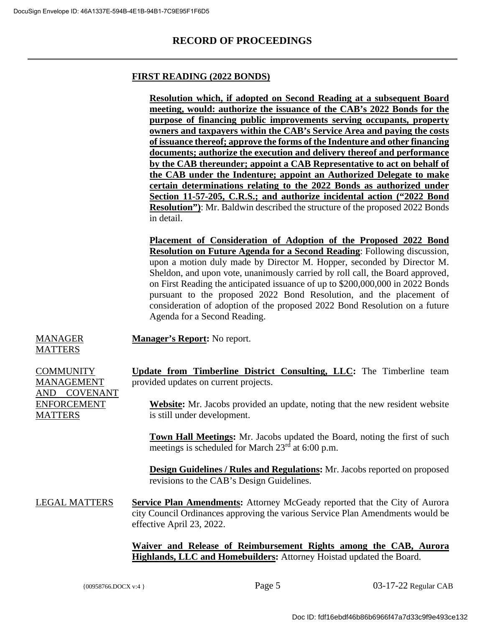### **FIRST READING (2022 BONDS)**

**Resolution which, if adopted on Second Reading at a subsequent Board meeting, would: authorize the issuance of the CAB's 2022 Bonds for the purpose of financing public improvements serving occupants, property owners and taxpayers within the CAB's Service Area and paying the costs of issuance thereof; approve the forms of the Indenture and other financing documents; authorize the execution and delivery thereof and performance by the CAB thereunder; appoint a CAB Representative to act on behalf of the CAB under the Indenture; appoint an Authorized Delegate to make certain determinations relating to the 2022 Bonds as authorized under Section 11-57-205, C.R.S.; and authorize incidental action ("2022 Bond Resolution")**: Mr. Baldwin described the structure of the proposed 2022 Bonds in detail.

**Placement of Consideration of Adoption of the Proposed 2022 Bond Resolution on Future Agenda for a Second Reading**: Following discussion, upon a motion duly made by Director M. Hopper, seconded by Director M. Sheldon, and upon vote, unanimously carried by roll call, the Board approved, on First Reading the anticipated issuance of up to \$200,000,000 in 2022 Bonds pursuant to the proposed 2022 Bond Resolution, and the placement of consideration of adoption of the proposed 2022 Bond Resolution on a future Agenda for a Second Reading.

**Manager's Report:** No report.

#### MANAGER **MATTERS**

| <b>COMMUNITY</b>       | Update from Timberline District Consulting, LLC: The Timberline team                                                                                                                             |
|------------------------|--------------------------------------------------------------------------------------------------------------------------------------------------------------------------------------------------|
| MANAGEMENT             | provided updates on current projects.                                                                                                                                                            |
| <b>COVENANT</b><br>AND |                                                                                                                                                                                                  |
| <b>ENFORCEMENT</b>     | <b>Website:</b> Mr. Jacobs provided an update, noting that the new resident website                                                                                                              |
| <b>MATTERS</b>         | is still under development.                                                                                                                                                                      |
|                        |                                                                                                                                                                                                  |
|                        | <b>Town Hall Meetings:</b> Mr. Jacobs updated the Board, noting the first of such<br>meetings is scheduled for March 23 <sup>rd</sup> at 6:00 p.m.                                               |
|                        | <b>Design Guidelines / Rules and Regulations:</b> Mr. Jacobs reported on proposed<br>revisions to the CAB's Design Guidelines.                                                                   |
| <b>LEGAL MATTERS</b>   | <b>Service Plan Amendments:</b> Attorney McGeady reported that the City of Aurora<br>city Council Ordinances approving the various Service Plan Amendments would be<br>effective April 23, 2022. |
|                        |                                                                                                                                                                                                  |

**Waiver and Release of Reimbursement Rights among the CAB, Aurora Highlands, LLC and Homebuilders:** Attorney Hoistad updated the Board.

{00958766.DOCX v:4 } Page 5 03-17-22 Regular CAB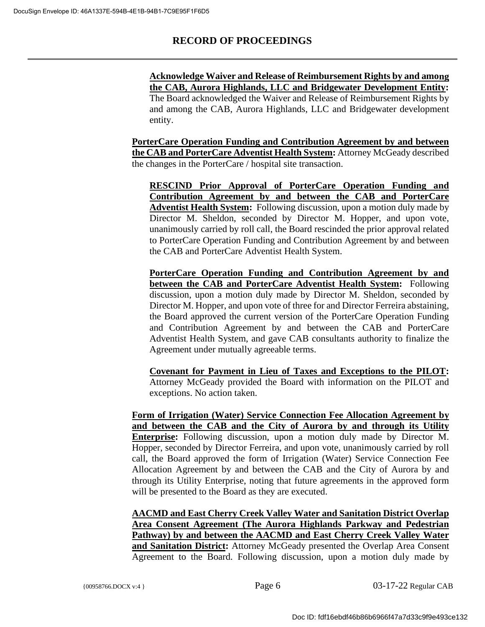**Acknowledge Waiver and Release of Reimbursement Rights by and among the CAB, Aurora Highlands, LLC and Bridgewater Development Entity:** The Board acknowledged the Waiver and Release of Reimbursement Rights by and among the CAB, Aurora Highlands, LLC and Bridgewater development entity.

**PorterCare Operation Funding and Contribution Agreement by and between the CAB and PorterCare Adventist Health System:** Attorney McGeady described the changes in the PorterCare / hospital site transaction.

**RESCIND Prior Approval of PorterCare Operation Funding and Contribution Agreement by and between the CAB and PorterCare Adventist Health System:** Following discussion, upon a motion duly made by Director M. Sheldon, seconded by Director M. Hopper, and upon vote, unanimously carried by roll call, the Board rescinded the prior approval related to PorterCare Operation Funding and Contribution Agreement by and between the CAB and PorterCare Adventist Health System.

**PorterCare Operation Funding and Contribution Agreement by and between the CAB and PorterCare Adventist Health System:** Following discussion, upon a motion duly made by Director M. Sheldon, seconded by Director M. Hopper, and upon vote of three for and Director Ferreira abstaining, the Board approved the current version of the PorterCare Operation Funding and Contribution Agreement by and between the CAB and PorterCare Adventist Health System, and gave CAB consultants authority to finalize the Agreement under mutually agreeable terms.

**Covenant for Payment in Lieu of Taxes and Exceptions to the PILOT:** Attorney McGeady provided the Board with information on the PILOT and exceptions. No action taken.

**Form of Irrigation (Water) Service Connection Fee Allocation Agreement by and between the CAB and the City of Aurora by and through its Utility Enterprise:** Following discussion, upon a motion duly made by Director M. Hopper, seconded by Director Ferreira, and upon vote, unanimously carried by roll call, the Board approved the form of Irrigation (Water) Service Connection Fee Allocation Agreement by and between the CAB and the City of Aurora by and through its Utility Enterprise, noting that future agreements in the approved form will be presented to the Board as they are executed.

**AACMD and East Cherry Creek Valley Water and Sanitation District Overlap Area Consent Agreement (The Aurora Highlands Parkway and Pedestrian Pathway) by and between the AACMD and East Cherry Creek Valley Water and Sanitation District:** Attorney McGeady presented the Overlap Area Consent Agreement to the Board. Following discussion, upon a motion duly made by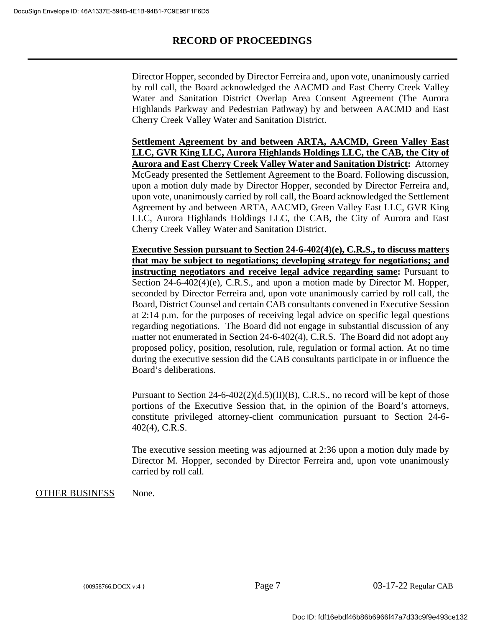Director Hopper, seconded by Director Ferreira and, upon vote, unanimously carried by roll call, the Board acknowledged the AACMD and East Cherry Creek Valley Water and Sanitation District Overlap Area Consent Agreement (The Aurora Highlands Parkway and Pedestrian Pathway) by and between AACMD and East Cherry Creek Valley Water and Sanitation District.

**Settlement Agreement by and between ARTA, AACMD, Green Valley East LLC, GVR King LLC, Aurora Highlands Holdings LLC, the CAB, the City of Aurora and East Cherry Creek Valley Water and Sanitation District:** Attorney McGeady presented the Settlement Agreement to the Board. Following discussion, upon a motion duly made by Director Hopper, seconded by Director Ferreira and, upon vote, unanimously carried by roll call, the Board acknowledged the Settlement Agreement by and between ARTA, AACMD, Green Valley East LLC, GVR King LLC, Aurora Highlands Holdings LLC, the CAB, the City of Aurora and East Cherry Creek Valley Water and Sanitation District.

**Executive Session pursuant to Section 24-6-402(4)(e), C.R.S., to discuss matters that may be subject to negotiations; developing strategy for negotiations; and instructing negotiators and receive legal advice regarding same:** Pursuant to Section 24-6-402(4)(e), C.R.S., and upon a motion made by Director M. Hopper, seconded by Director Ferreira and, upon vote unanimously carried by roll call, the Board, District Counsel and certain CAB consultants convened in Executive Session at 2:14 p.m. for the purposes of receiving legal advice on specific legal questions regarding negotiations. The Board did not engage in substantial discussion of any matter not enumerated in Section 24-6-402(4), C.R.S. The Board did not adopt any proposed policy, position, resolution, rule, regulation or formal action. At no time during the executive session did the CAB consultants participate in or influence the Board's deliberations.

Pursuant to Section  $24-6-402(2)(d.5)(II)(B)$ , C.R.S., no record will be kept of those portions of the Executive Session that, in the opinion of the Board's attorneys, constitute privileged attorney-client communication pursuant to Section 24-6- 402(4), C.R.S.

The executive session meeting was adjourned at 2:36 upon a motion duly made by Director M. Hopper, seconded by Director Ferreira and, upon vote unanimously carried by roll call.

OTHER BUSINESS None.

{00958766.DOCX v:4 } Page 7 03-17-22 Regular CAB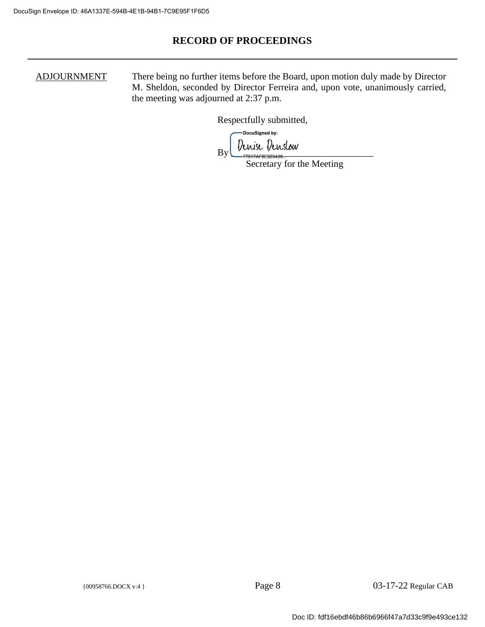ADJOURNMENT There being no further items before the Board, upon motion duly made by Director M. Sheldon, seconded by Director Ferreira and, upon vote, unanimously carried, the meeting was adjourned at 2:37 p.m.

Respectfully submitted,

-DocuSianed by:  $_{\rm By}$  *Denise Denslow* 

Secretary for the Meeting